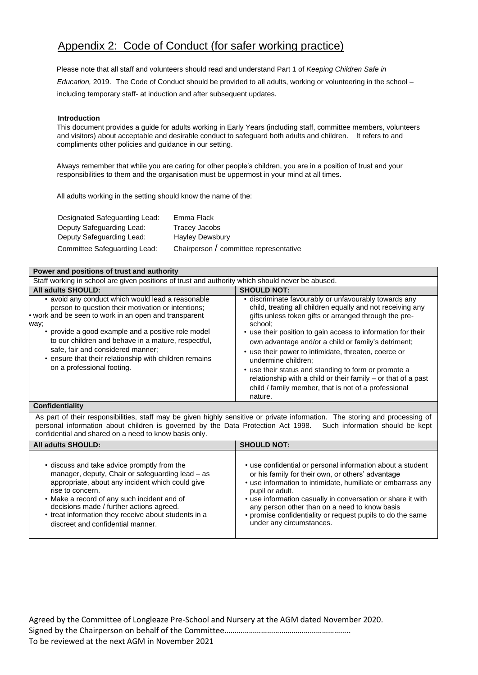# Appendix 2: Code of Conduct (for safer working practice)

Please note that all staff and volunteers should read and understand Part 1 of *Keeping Children Safe in Education,* 2019. The Code of Conduct should be provided to all adults, working or volunteering in the school – including temporary staff- at induction and after subsequent updates.

### **Introduction**

This document provides a guide for adults working in Early Years (including staff, committee members, volunteers and visitors) about acceptable and desirable conduct to safeguard both adults and children. It refers to and compliments other policies and guidance in our setting.

Always remember that while you are caring for other people's children, you are in a position of trust and your responsibilities to them and the organisation must be uppermost in your mind at all times.

All adults working in the setting should know the name of the:

| Designated Safeguarding Lead: | Emma Flack                             |
|-------------------------------|----------------------------------------|
| Deputy Safeguarding Lead:     | Tracey Jacobs                          |
| Deputy Safeguarding Lead:     | <b>Hayley Dewsbury</b>                 |
| Committee Safeguarding Lead:  | Chairperson / committee representative |

| Power and positions of trust and authority                                                                                                                                                                                                                                                                                                                                                                       |                                                                                                                                                                                                                                                                                                                                                                                                                                                                                                                                                                                           |
|------------------------------------------------------------------------------------------------------------------------------------------------------------------------------------------------------------------------------------------------------------------------------------------------------------------------------------------------------------------------------------------------------------------|-------------------------------------------------------------------------------------------------------------------------------------------------------------------------------------------------------------------------------------------------------------------------------------------------------------------------------------------------------------------------------------------------------------------------------------------------------------------------------------------------------------------------------------------------------------------------------------------|
| Staff working in school are given positions of trust and authority which should never be abused.                                                                                                                                                                                                                                                                                                                 |                                                                                                                                                                                                                                                                                                                                                                                                                                                                                                                                                                                           |
| <b>All adults SHOULD:</b>                                                                                                                                                                                                                                                                                                                                                                                        | <b>SHOULD NOT:</b>                                                                                                                                                                                                                                                                                                                                                                                                                                                                                                                                                                        |
| • avoid any conduct which would lead a reasonable<br>person to question their motivation or intentions;<br>• work and be seen to work in an open and transparent<br>way;<br>provide a good example and a positive role model<br>to our children and behave in a mature, respectful,<br>safe, fair and considered manner;<br>• ensure that their relationship with children remains<br>on a professional footing. | • discriminate favourably or unfavourably towards any<br>child, treating all children equally and not receiving any<br>gifts unless token gifts or arranged through the pre-<br>school:<br>• use their position to gain access to information for their<br>own advantage and/or a child or family's detriment;<br>• use their power to intimidate, threaten, coerce or<br>undermine children:<br>• use their status and standing to form or promote a<br>relationship with a child or their family - or that of a past<br>child / family member, that is not of a professional<br>nature. |

#### **Confidentiality**

As part of their responsibilities, staff may be given highly sensitive or private information. The storing and processing of personal information about children is governed by the Data Protection Act 1998. Such information personal information about children is governed by the Data Protection Act 1998. confidential and shared on a need to know basis only.

| <b>All adults SHOULD:</b>                            | <b>SHOULD NOT:</b>                                          |
|------------------------------------------------------|-------------------------------------------------------------|
| • discuss and take advice promptly from the          | • use confidential or personal information about a student  |
| manager, deputy, Chair or safeguarding lead - as     | or his family for their own, or others' advantage           |
| appropriate, about any incident which could give     | • use information to intimidate, humiliate or embarrass any |
| rise to concern.                                     | pupil or adult.                                             |
| • Make a record of any such incident and of          | • use information casually in conversation or share it with |
| decisions made / further actions agreed.             | any person other than on a need to know basis               |
| • treat information they receive about students in a | • promise confidentiality or request pupils to do the same  |
| discreet and confidential manner.                    | under any circumstances.                                    |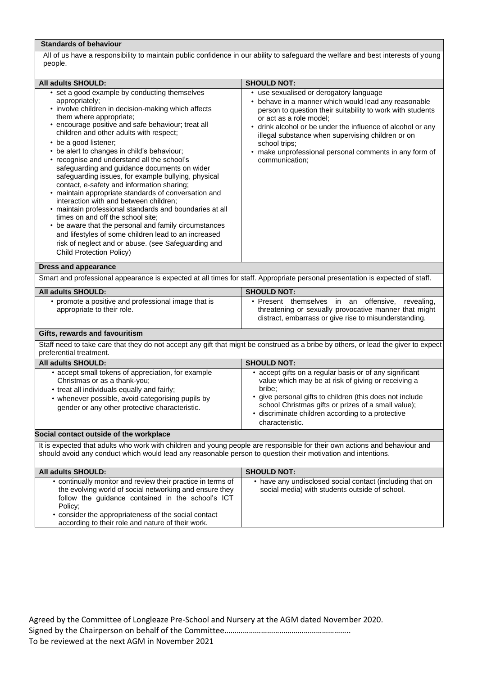## **Standards of behaviour**

All of us have a responsibility to maintain public confidence in our ability to safeguard the welfare and best interests of young people.

| All adults SHOULD:                                                                                                                                                                                                                                                                                                                                                                                                                                                                                                                                                                                                                                                                                                                                                                                                                                                                                                                   | <b>SHOULD NOT:</b>                                                                                                                                                                                                                                                                                                                                                                                      |
|--------------------------------------------------------------------------------------------------------------------------------------------------------------------------------------------------------------------------------------------------------------------------------------------------------------------------------------------------------------------------------------------------------------------------------------------------------------------------------------------------------------------------------------------------------------------------------------------------------------------------------------------------------------------------------------------------------------------------------------------------------------------------------------------------------------------------------------------------------------------------------------------------------------------------------------|---------------------------------------------------------------------------------------------------------------------------------------------------------------------------------------------------------------------------------------------------------------------------------------------------------------------------------------------------------------------------------------------------------|
| • set a good example by conducting themselves<br>appropriately;<br>• involve children in decision-making which affects<br>them where appropriate;<br>• encourage positive and safe behaviour; treat all<br>children and other adults with respect;<br>• be a good listener;<br>• be alert to changes in child's behaviour;<br>• recognise and understand all the school's<br>safeguarding and guidance documents on wider<br>safeguarding issues, for example bullying, physical<br>contact, e-safety and information sharing;<br>• maintain appropriate standards of conversation and<br>interaction with and between children;<br>• maintain professional standards and boundaries at all<br>times on and off the school site;<br>• be aware that the personal and family circumstances<br>and lifestyles of some children lead to an increased<br>risk of neglect and or abuse. (see Safeguarding and<br>Child Protection Policy) | • use sexualised or derogatory language<br>• behave in a manner which would lead any reasonable<br>person to question their suitability to work with students<br>or act as a role model;<br>• drink alcohol or be under the influence of alcohol or any<br>illegal substance when supervising children or on<br>school trips;<br>make unprofessional personal comments in any form of<br>communication: |
| <b>Dress and appearance</b>                                                                                                                                                                                                                                                                                                                                                                                                                                                                                                                                                                                                                                                                                                                                                                                                                                                                                                          |                                                                                                                                                                                                                                                                                                                                                                                                         |
| Smart and professional appearance is expected at all times for staff. Appropriate personal presentation is expected of staff.                                                                                                                                                                                                                                                                                                                                                                                                                                                                                                                                                                                                                                                                                                                                                                                                        |                                                                                                                                                                                                                                                                                                                                                                                                         |
| All adults SHOULD:                                                                                                                                                                                                                                                                                                                                                                                                                                                                                                                                                                                                                                                                                                                                                                                                                                                                                                                   | <b>SHOULD NOT:</b>                                                                                                                                                                                                                                                                                                                                                                                      |
| • promote a positive and professional image that is<br>appropriate to their role.                                                                                                                                                                                                                                                                                                                                                                                                                                                                                                                                                                                                                                                                                                                                                                                                                                                    | · Present themselves in an offensive,<br>revealing,<br>threatening or sexually provocative manner that might<br>distract, embarrass or give rise to misunderstanding.                                                                                                                                                                                                                                   |
| Gifts, rewards and favouritism                                                                                                                                                                                                                                                                                                                                                                                                                                                                                                                                                                                                                                                                                                                                                                                                                                                                                                       |                                                                                                                                                                                                                                                                                                                                                                                                         |
| Staff need to take care that they do not accept any gift that might be construed as a bribe by others, or lead the giver to expect<br>preferential treatment.                                                                                                                                                                                                                                                                                                                                                                                                                                                                                                                                                                                                                                                                                                                                                                        |                                                                                                                                                                                                                                                                                                                                                                                                         |
| All adults SHOULD:                                                                                                                                                                                                                                                                                                                                                                                                                                                                                                                                                                                                                                                                                                                                                                                                                                                                                                                   | <b>SHOULD NOT:</b>                                                                                                                                                                                                                                                                                                                                                                                      |
| • accept small tokens of appreciation, for example<br>Christmas or as a thank-you;<br>• treat all individuals equally and fairly;<br>• whenever possible, avoid categorising pupils by<br>gender or any other protective characteristic.                                                                                                                                                                                                                                                                                                                                                                                                                                                                                                                                                                                                                                                                                             | • accept gifts on a regular basis or of any significant<br>value which may be at risk of giving or receiving a<br>bribe:<br>• give personal gifts to children (this does not include<br>school Christmas gifts or prizes of a small value);<br>· discriminate children according to a protective<br>characteristic.                                                                                     |
| Social contact outside of the workplace                                                                                                                                                                                                                                                                                                                                                                                                                                                                                                                                                                                                                                                                                                                                                                                                                                                                                              |                                                                                                                                                                                                                                                                                                                                                                                                         |
| It is expected that adults who work with children and young people are responsible for their own actions and behaviour and<br>should avoid any conduct which would lead any reasonable person to question their motivation and intentions.                                                                                                                                                                                                                                                                                                                                                                                                                                                                                                                                                                                                                                                                                           |                                                                                                                                                                                                                                                                                                                                                                                                         |
| All adults SHOULD:                                                                                                                                                                                                                                                                                                                                                                                                                                                                                                                                                                                                                                                                                                                                                                                                                                                                                                                   | <b>SHOULD NOT:</b>                                                                                                                                                                                                                                                                                                                                                                                      |
| • continually monitor and review their practice in terms of<br>the evolving world of social networking and ensure they<br>follow the guidance contained in the school's ICT<br>Policy;                                                                                                                                                                                                                                                                                                                                                                                                                                                                                                                                                                                                                                                                                                                                               | • have any undisclosed social contact (including that on<br>social media) with students outside of school.                                                                                                                                                                                                                                                                                              |

• consider the appropriateness of the social contact according to their role and nature of their work.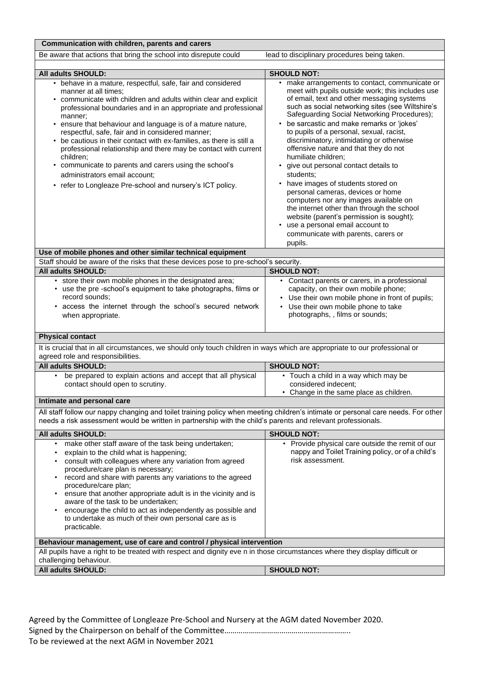| Communication with children, parents and carers                                                                                                                                                                                                                                                                                                                                                                                                                                                                                                                                                                                                                                           |                                                                                                                                                                                                                                                                                                                                                                                                                                                                                                                                                                                                                                                                                                                                                                                                                                         |
|-------------------------------------------------------------------------------------------------------------------------------------------------------------------------------------------------------------------------------------------------------------------------------------------------------------------------------------------------------------------------------------------------------------------------------------------------------------------------------------------------------------------------------------------------------------------------------------------------------------------------------------------------------------------------------------------|-----------------------------------------------------------------------------------------------------------------------------------------------------------------------------------------------------------------------------------------------------------------------------------------------------------------------------------------------------------------------------------------------------------------------------------------------------------------------------------------------------------------------------------------------------------------------------------------------------------------------------------------------------------------------------------------------------------------------------------------------------------------------------------------------------------------------------------------|
| Be aware that actions that bring the school into disrepute could                                                                                                                                                                                                                                                                                                                                                                                                                                                                                                                                                                                                                          | lead to disciplinary procedures being taken.                                                                                                                                                                                                                                                                                                                                                                                                                                                                                                                                                                                                                                                                                                                                                                                            |
|                                                                                                                                                                                                                                                                                                                                                                                                                                                                                                                                                                                                                                                                                           |                                                                                                                                                                                                                                                                                                                                                                                                                                                                                                                                                                                                                                                                                                                                                                                                                                         |
| All adults SHOULD:<br>• behave in a mature, respectful, safe, fair and considered<br>manner at all times;<br>communicate with children and adults within clear and explicit<br>professional boundaries and in an appropriate and professional<br>manner;<br>ensure that behaviour and language is of a mature nature,<br>respectful, safe, fair and in considered manner;<br>• be cautious in their contact with ex-families, as there is still a<br>professional relationship and there may be contact with current<br>children;<br>• communicate to parents and carers using the school's<br>administrators email account;<br>• refer to Longleaze Pre-school and nursery's ICT policy. | <b>SHOULD NOT:</b><br>• make arrangements to contact, communicate or<br>meet with pupils outside work; this includes use<br>of email, text and other messaging systems<br>such as social networking sites (see Wiltshire's<br>Safeguarding Social Networking Procedures);<br>be sarcastic and make remarks or 'jokes'<br>to pupils of a personal, sexual, racist,<br>discriminatory, intimidating or otherwise<br>offensive nature and that they do not<br>humiliate children;<br>give out personal contact details to<br>students:<br>have images of students stored on<br>$\bullet$<br>personal cameras, devices or home<br>computers nor any images available on<br>the internet other than through the school<br>website (parent's permission is sought);<br>use a personal email account to<br>communicate with parents, carers or |
|                                                                                                                                                                                                                                                                                                                                                                                                                                                                                                                                                                                                                                                                                           | pupils.                                                                                                                                                                                                                                                                                                                                                                                                                                                                                                                                                                                                                                                                                                                                                                                                                                 |
| Use of mobile phones and other similar technical equipment<br>Staff should be aware of the risks that these devices pose to pre-school's security.                                                                                                                                                                                                                                                                                                                                                                                                                                                                                                                                        |                                                                                                                                                                                                                                                                                                                                                                                                                                                                                                                                                                                                                                                                                                                                                                                                                                         |
| All adults SHOULD:                                                                                                                                                                                                                                                                                                                                                                                                                                                                                                                                                                                                                                                                        | <b>SHOULD NOT:</b>                                                                                                                                                                                                                                                                                                                                                                                                                                                                                                                                                                                                                                                                                                                                                                                                                      |
| • store their own mobile phones in the designated area;<br>• use the pre -school's equipment to take photographs, films or<br>record sounds;<br>• access the internet through the school's secured network<br>when appropriate.                                                                                                                                                                                                                                                                                                                                                                                                                                                           | • Contact parents or carers, in a professional<br>capacity, on their own mobile phone;<br>• Use their own mobile phone in front of pupils;<br>• Use their own mobile phone to take<br>photographs, , films or sounds;                                                                                                                                                                                                                                                                                                                                                                                                                                                                                                                                                                                                                   |
|                                                                                                                                                                                                                                                                                                                                                                                                                                                                                                                                                                                                                                                                                           |                                                                                                                                                                                                                                                                                                                                                                                                                                                                                                                                                                                                                                                                                                                                                                                                                                         |
| <b>Physical contact</b><br>It is crucial that in all circumstances, we should only touch children in ways which are appropriate to our professional or                                                                                                                                                                                                                                                                                                                                                                                                                                                                                                                                    |                                                                                                                                                                                                                                                                                                                                                                                                                                                                                                                                                                                                                                                                                                                                                                                                                                         |
| agreed role and responsibilities.                                                                                                                                                                                                                                                                                                                                                                                                                                                                                                                                                                                                                                                         |                                                                                                                                                                                                                                                                                                                                                                                                                                                                                                                                                                                                                                                                                                                                                                                                                                         |
| All adults SHOULD:                                                                                                                                                                                                                                                                                                                                                                                                                                                                                                                                                                                                                                                                        | <b>SHOULD NOT:</b>                                                                                                                                                                                                                                                                                                                                                                                                                                                                                                                                                                                                                                                                                                                                                                                                                      |
| be prepared to explain actions and accept that all physical<br>$\bullet$<br>contact should open to scrutiny.                                                                                                                                                                                                                                                                                                                                                                                                                                                                                                                                                                              | • Touch a child in a way which may be<br>considered indecent;<br>• Change in the same place as children.                                                                                                                                                                                                                                                                                                                                                                                                                                                                                                                                                                                                                                                                                                                                |
| Intimate and personal care                                                                                                                                                                                                                                                                                                                                                                                                                                                                                                                                                                                                                                                                |                                                                                                                                                                                                                                                                                                                                                                                                                                                                                                                                                                                                                                                                                                                                                                                                                                         |
| All staff follow our nappy changing and toilet training policy when meeting children's intimate or personal care needs. For other<br>needs a risk assessment would be written in partnership with the child's parents and relevant professionals.                                                                                                                                                                                                                                                                                                                                                                                                                                         |                                                                                                                                                                                                                                                                                                                                                                                                                                                                                                                                                                                                                                                                                                                                                                                                                                         |
| All adults SHOULD:                                                                                                                                                                                                                                                                                                                                                                                                                                                                                                                                                                                                                                                                        | <b>SHOULD NOT:</b>                                                                                                                                                                                                                                                                                                                                                                                                                                                                                                                                                                                                                                                                                                                                                                                                                      |
| make other staff aware of the task being undertaken;<br>$\bullet$<br>explain to the child what is happening;<br>consult with colleagues where any variation from agreed<br>procedure/care plan is necessary;<br>record and share with parents any variations to the agreed<br>procedure/care plan;<br>ensure that another appropriate adult is in the vicinity and is<br>aware of the task to be undertaken;<br>encourage the child to act as independently as possible and<br>to undertake as much of their own personal care as is<br>practicable.                                                                                                                                      | • Provide physical care outside the remit of our<br>nappy and Toilet Training policy, or of a child's<br>risk assessment.                                                                                                                                                                                                                                                                                                                                                                                                                                                                                                                                                                                                                                                                                                               |
| Behaviour management, use of care and control / physical intervention<br>All pupils have a right to be treated with respect and dignity eve n in those circumstances where they display difficult or                                                                                                                                                                                                                                                                                                                                                                                                                                                                                      |                                                                                                                                                                                                                                                                                                                                                                                                                                                                                                                                                                                                                                                                                                                                                                                                                                         |
| challenging behaviour.                                                                                                                                                                                                                                                                                                                                                                                                                                                                                                                                                                                                                                                                    |                                                                                                                                                                                                                                                                                                                                                                                                                                                                                                                                                                                                                                                                                                                                                                                                                                         |
| All adults SHOULD:                                                                                                                                                                                                                                                                                                                                                                                                                                                                                                                                                                                                                                                                        | <b>SHOULD NOT:</b>                                                                                                                                                                                                                                                                                                                                                                                                                                                                                                                                                                                                                                                                                                                                                                                                                      |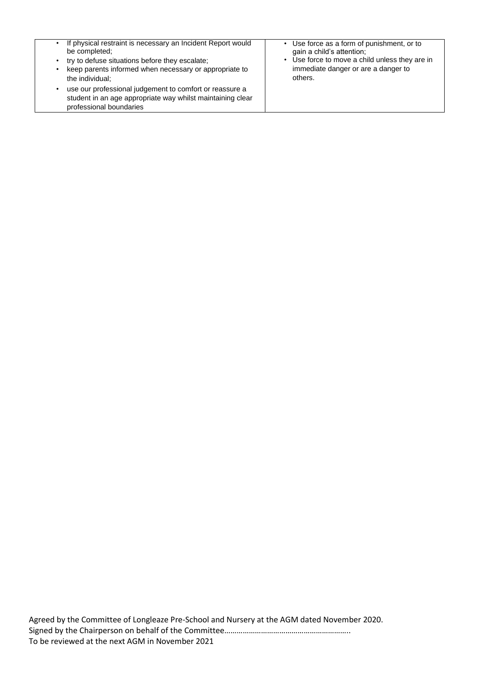| If physical restraint is necessary an Incident Report would                                                                                      | Use force as a form of punishment, or to       |
|--------------------------------------------------------------------------------------------------------------------------------------------------|------------------------------------------------|
| be completed;                                                                                                                                    | gain a child's attention;                      |
| try to defuse situations before they escalate;                                                                                                   | • Use force to move a child unless they are in |
| keep parents informed when necessary or appropriate to                                                                                           | immediate danger or are a danger to            |
| the individual:                                                                                                                                  | others.                                        |
| use our professional judgement to comfort or reassure a<br>student in an age appropriate way whilst maintaining clear<br>professional boundaries |                                                |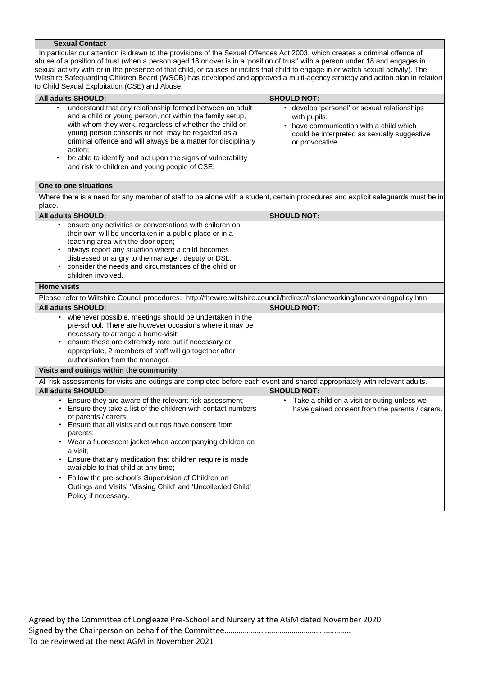#### **Sexual Contact**

In particular our attention is drawn to the provisions of the Sexual Offences Act 2003, which creates a criminal offence of abuse of a position of trust (when a person aged 18 or over is in a 'position of trust' with a person under 18 and engages in sexual activity with or in the presence of that child, or causes or incites that child to engage in or watch sexual activity). The Wiltshire Safeguarding Children Board (WSCB) has developed and approved a multi-agency strategy and action plan in relation to Child Sexual Exploitation (CSE) and Abuse.

| All adults SHOULD:                                                                                                                                                                                                                                                                                                                                                                                                                 | <b>SHOULD NOT:</b>                                                                                                                                                        |
|------------------------------------------------------------------------------------------------------------------------------------------------------------------------------------------------------------------------------------------------------------------------------------------------------------------------------------------------------------------------------------------------------------------------------------|---------------------------------------------------------------------------------------------------------------------------------------------------------------------------|
| understand that any relationship formed between an adult<br>and a child or young person, not within the family setup,<br>with whom they work, regardless of whether the child or<br>young person consents or not, may be regarded as a<br>criminal offence and will always be a matter for disciplinary<br>action;<br>be able to identify and act upon the signs of vulnerability<br>and risk to children and young people of CSE. | • develop 'personal' or sexual relationships<br>with pupils;<br>• have communication with a child which<br>could be interpreted as sexually suggestive<br>or provocative. |
| One to one situations                                                                                                                                                                                                                                                                                                                                                                                                              |                                                                                                                                                                           |
| Where there is a need for any member of staff to be alone with a student, certain procedures and explicit safeguards must be in<br>place.                                                                                                                                                                                                                                                                                          |                                                                                                                                                                           |
| <b>All adults SHOULD:</b>                                                                                                                                                                                                                                                                                                                                                                                                          | <b>SHOULD NOT:</b>                                                                                                                                                        |
| ensure any activities or conversations with children on<br>their own will be undertaken in a public place or in a<br>teaching area with the door open;<br>always report any situation where a child becomes<br>distressed or angry to the manager, deputy or DSL;<br>consider the needs and circumstances of the child or<br>children involved.                                                                                    |                                                                                                                                                                           |
| <b>Home visits</b>                                                                                                                                                                                                                                                                                                                                                                                                                 |                                                                                                                                                                           |
| Please refer to Wiltshire Council procedures: http://thewire.wiltshire.council/hrdirect/hsloneworking/loneworkingpolicy.htm                                                                                                                                                                                                                                                                                                        |                                                                                                                                                                           |
| <b>All adults SHOULD:</b>                                                                                                                                                                                                                                                                                                                                                                                                          | <b>SHOULD NOT:</b>                                                                                                                                                        |
| whenever possible, meetings should be undertaken in the<br>pre-school. There are however occasions where it may be<br>necessary to arrange a home-visit;<br>ensure these are extremely rare but if necessary or<br>appropriate, 2 members of staff will go together after                                                                                                                                                          |                                                                                                                                                                           |
| authorisation from the manager.                                                                                                                                                                                                                                                                                                                                                                                                    |                                                                                                                                                                           |
| Visits and outings within the community                                                                                                                                                                                                                                                                                                                                                                                            |                                                                                                                                                                           |
| All risk assessments for visits and outings are completed before each event and shared appropriately with relevant adults.                                                                                                                                                                                                                                                                                                         |                                                                                                                                                                           |
| All adults SHOULD:<br>• Ensure they are aware of the relevant risk assessment;                                                                                                                                                                                                                                                                                                                                                     | <b>SHOULD NOT:</b><br>• Take a child on a visit or outing unless we                                                                                                       |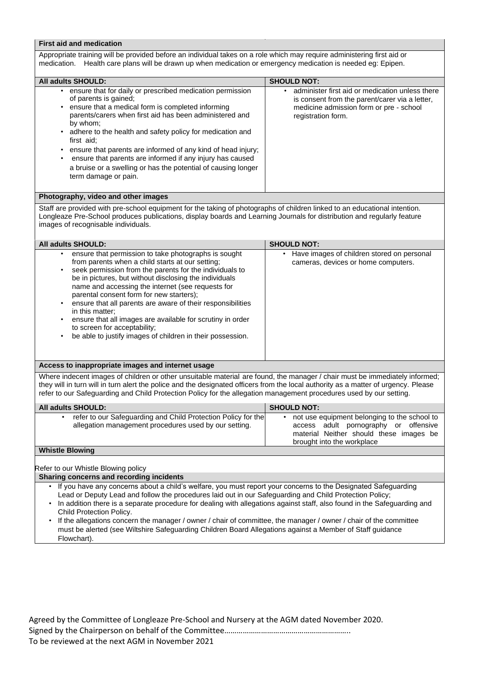# **First aid and medication**

Appropriate training will be provided before an individual takes on a role which may require administering first aid or medication. Health care plans will be drawn up when medication or emergency medication is needed eg: Epipen.

| <b>All adults SHOULD:</b>                                                                                                                                                                                                                                                                                                                                                                                                                                                                                         | <b>SHOULD NOT:</b>                                                                                                                                                 |
|-------------------------------------------------------------------------------------------------------------------------------------------------------------------------------------------------------------------------------------------------------------------------------------------------------------------------------------------------------------------------------------------------------------------------------------------------------------------------------------------------------------------|--------------------------------------------------------------------------------------------------------------------------------------------------------------------|
| ensure that for daily or prescribed medication permission<br>of parents is gained;<br>ensure that a medical form is completed informing<br>parents/carers when first aid has been administered and<br>by whom;<br>• adhere to the health and safety policy for medication and<br>first aid;<br>ensure that parents are informed of any kind of head injury;<br>ensure that parents are informed if any injury has caused<br>a bruise or a swelling or has the potential of causing longer<br>term damage or pain. | administer first aid or medication unless there<br>is consent from the parent/carer via a letter,<br>medicine admission form or pre - school<br>registration form. |

## **Photography, video and other images**

Staff are provided with pre-school equipment for the taking of photographs of children linked to an educational intention. Longleaze Pre-School produces publications, display boards and Learning Journals for distribution and regularly feature images of recognisable individuals.

| <b>All adults SHOULD:</b>                                                                                                                                                                                                                                                                                                                                                                                                                                                                                                                                                                 | <b>SHOULD NOT:</b>                                                                                                                                             |
|-------------------------------------------------------------------------------------------------------------------------------------------------------------------------------------------------------------------------------------------------------------------------------------------------------------------------------------------------------------------------------------------------------------------------------------------------------------------------------------------------------------------------------------------------------------------------------------------|----------------------------------------------------------------------------------------------------------------------------------------------------------------|
| ensure that permission to take photographs is sought<br>$\bullet$<br>from parents when a child starts at our setting;<br>seek permission from the parents for the individuals to<br>be in pictures, but without disclosing the individuals<br>name and accessing the internet (see requests for<br>parental consent form for new starters);<br>ensure that all parents are aware of their responsibilities<br>in this matter:<br>ensure that all images are available for scrutiny in order<br>to screen for acceptability;<br>be able to justify images of children in their possession. | Have images of children stored on personal<br>$\bullet$<br>cameras, devices or home computers.                                                                 |
| Access to inappropriate images and internet usage                                                                                                                                                                                                                                                                                                                                                                                                                                                                                                                                         |                                                                                                                                                                |
| Where indecent images of children or other unsuitable material are found, the manager / chair must be immediately informed;<br>they will in turn will in turn alert the police and the designated officers from the local authority as a matter of urgency. Please<br>refer to our Safeguarding and Child Protection Policy for the allegation management procedures used by our setting.                                                                                                                                                                                                 |                                                                                                                                                                |
| All adults SHOULD:                                                                                                                                                                                                                                                                                                                                                                                                                                                                                                                                                                        | <b>SHOULD NOT:</b>                                                                                                                                             |
| refer to our Safeguarding and Child Protection Policy for the<br>$\bullet$<br>allegation management procedures used by our setting.                                                                                                                                                                                                                                                                                                                                                                                                                                                       | not use equipment belonging to the school to<br>access adult pornography or offensive<br>material Neither should these images be<br>brought into the workplace |
| <b>Whistle Blowing</b>                                                                                                                                                                                                                                                                                                                                                                                                                                                                                                                                                                    |                                                                                                                                                                |
| Refer to our Whistle Blowing policy                                                                                                                                                                                                                                                                                                                                                                                                                                                                                                                                                       |                                                                                                                                                                |
| Sharing concerns and recording incidents                                                                                                                                                                                                                                                                                                                                                                                                                                                                                                                                                  |                                                                                                                                                                |
| • If you have any concerns about a child's welfare, you must report your concerns to the Designated Safeguarding<br>Lead or Deputy Lead and follow the procedures laid out in our Safeguarding and Child Protection Policy;<br>In addition there is a separate procedure for dealing with allegations against staff, also found in the Safeguarding and<br>$\bullet$<br>Child Protection Policy.<br>• If the allegations concern the manager / owner / chair of committee, the manager / owner / chair of the committee                                                                   |                                                                                                                                                                |

• If the allegations concern the manager / owner / chair of committee, the manager / owner / chair of the committee must be alerted (see Wiltshire Safeguarding Children Board Allegations against a Member of Staff guidance Flowchart).